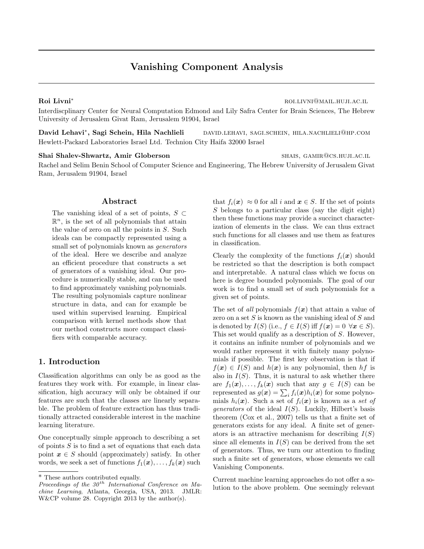# Vanishing Component Analysis

Roi Livni\* romani romani romani romani romani romani romani romani romani romani romani romani romani romani r

Interdiscplinary Center for Neural Computation Edmond and Lily Safra Center for Brain Sciences, The Hebrew University of Jerusalem Givat Ram, Jerusalem 91904, Israel

David Lehavi\*, Sagi Schein, Hila Nachlieli , Sagi Schein, Hila Nachlieli david.lehavi, sagi.schein, hila.nachlieli@hp.com Hewlett-Packard Laboratories Israel Ltd. Technion City Haifa 32000 Israel

#### Shai Shalev-Shwartz, Amir Globerson shais, GAMIR@CS.HUJI.AC.IL

Rachel and Selim Benin School of Computer Science and Engineering, The Hebrew University of Jerusalem Givat Ram, Jerusalem 91904, Israel

# Abstract

The vanishing ideal of a set of points,  $S \subset$  $\mathbb{R}^n$ , is the set of all polynomials that attain the value of zero on all the points in S. Such ideals can be compactly represented using a small set of polynomials known as *generators* of the ideal. Here we describe and analyze an efficient procedure that constructs a set of generators of a vanishing ideal. Our procedure is numerically stable, and can be used to find approximately vanishing polynomials. The resulting polynomials capture nonlinear structure in data, and can for example be used within supervised learning. Empirical comparison with kernel methods show that our method constructs more compact classifiers with comparable accuracy.

# 1. Introduction

Classification algorithms can only be as good as the features they work with. For example, in linear classification, high accuracy will only be obtained if our features are such that the classes are linearly separable. The problem of feature extraction has thus traditionally attracted considerable interest in the machine learning literature.

One conceptually simple approach to describing a set of points  $S$  is to find a set of equations that each data point  $x \in S$  should (approximately) satisfy. In other words, we seek a set of functions  $f_1(\boldsymbol{x}), \ldots, f_k(\boldsymbol{x})$  such that  $f_i(\mathbf{x}) \approx 0$  for all i and  $\mathbf{x} \in S$ . If the set of points S belongs to a particular class (say the digit eight) then these functions may provide a succinct characterization of elements in the class. We can thus extract such functions for all classes and use them as features in classification.

Clearly the complexity of the functions  $f_i(x)$  should be restricted so that the description is both compact and interpretable. A natural class which we focus on here is degree bounded polynomials. The goal of our work is to find a small set of such polynomials for a given set of points.

The set of all polynomials  $f(x)$  that attain a value of zero on a set  $S$  is known as the vanishing ideal of  $S$  and is denoted by  $I(S)$  (i.e.,  $f \in I(S)$  iff  $f(\mathbf{x}) = 0 \ \forall \mathbf{x} \in S$ ). This set would qualify as a description of S. However, it contains an infinite number of polynomials and we would rather represent it with finitely many polynomials if possible. The first key observation is that if  $f(x) \in I(S)$  and  $h(x)$  is any polynomial, then hf is also in  $I(S)$ . Thus, it is natural to ask whether there are  $f_1(\mathbf{x}), \ldots, f_k(\mathbf{x})$  such that any  $g \in I(S)$  can be represented as  $g(\boldsymbol{x}) = \sum_i f_i(\boldsymbol{x}) h_i(\boldsymbol{x})$  for some polynomials  $h_i(\boldsymbol{x})$ . Such a set of  $f_i(\boldsymbol{x})$  is known as a set of *generators* of the ideal  $I(S)$ . Luckily, Hilbert's basis theorem (Cox et al., 2007) tells us that a finite set of generators exists for any ideal. A finite set of generators is an attractive mechanism for describing  $I(S)$ since all elements in  $I(S)$  can be derived from the set of generators. Thus, we turn our attention to finding such a finite set of generators, whose elements we call Vanishing Components.

Current machine learning approaches do not offer a solution to the above problem. One seemingly relevant

<sup>\*</sup> These authors contributed equally.

Proceedings of the  $30<sup>th</sup>$  International Conference on Machine Learning, Atlanta, Georgia, USA, 2013. JMLR: W&CP volume 28. Copyright 2013 by the author(s).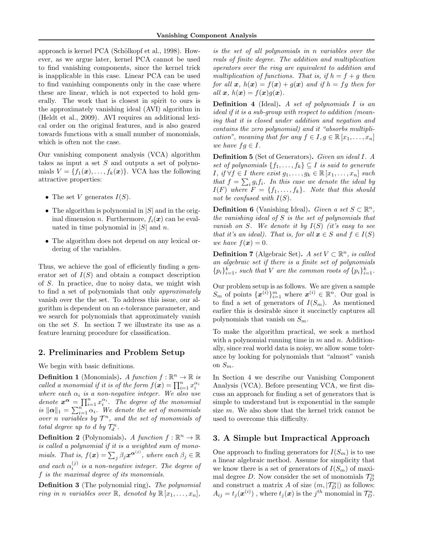approach is kernel PCA (Schölkopf et al., 1998). However, as we argue later, kernel PCA cannot be used to find vanishing components, since the kernel trick is inapplicable in this case. Linear PCA can be used to find vanishing components only in the case where these are linear, which is not expected to hold generally. The work that is closest in spirit to ours is the approximately vanishing ideal (AVI) algorithm in (Heldt et al., 2009). AVI requires an additional lexical order on the original features, and is also geared towards functions with a small number of monomials, which is often not the case.

Our vanishing component analysis (VCA) algorithm takes as input a set  $S$  and outputs a set of polynomials  $V = \{f_1(\boldsymbol{x}), \ldots, f_k(\boldsymbol{x})\}$ . VCA has the following attractive properties:

- The set V generates  $I(S)$ .
- The algorithm is polynomial in  $|S|$  and in the original dimension n. Furthermore,  $f_i(\boldsymbol{x})$  can be evaluated in time polynomial in  $|S|$  and n.
- The algorithm does not depend on any lexical ordering of the variables.

Thus, we achieve the goal of efficiently finding a generator set of  $I(S)$  and obtain a compact description of S. In practice, due to noisy data, we might wish to find a set of polynomials that only approximately vanish over the the set. To address this issue, our algorithm is dependent on an  $\epsilon$ -tolerance parameter, and we search for polynomials that approximately vanish on the set S. In section 7 we illustrate its use as a feature learning procedure for classification.

# 2. Preliminaries and Problem Setup

We begin with basic definitions.

**Definition 1** (Monomials). A function  $f : \mathbb{R}^n \to \mathbb{R}$  is called a monomial if it is of the form  $f(\boldsymbol{x}) = \prod_{i=1}^n x_i^{\alpha_i}$ where each  $\alpha_i$  is a non-negative integer. We also use denote  $\boldsymbol{x}^{\boldsymbol{\alpha}} = \prod_{i=1}^{n} x_i^{\alpha_i}$ . The degree of the monomial is  $\|\boldsymbol{\alpha}\|_1 = \sum_{i=1}^{n} \alpha_i$ . We denote the set of monomials over n variables by  $\mathcal{T}^n$ , and the set of monomials of total degree up to d by  $\mathcal{T}_d^n$ .

**Definition 2** (Polynomials). A function  $f : \mathbb{R}^n \to \mathbb{R}$ is called a polynomial if it is a weighted sum of monomials. That is,  $f(\boldsymbol{x}) = \sum_j \beta_j \boldsymbol{x}^{\boldsymbol{\alpha}^{(j)}}$ , where each  $\beta_j \in \mathbb{R}$ and each  $\alpha_i^{(j)}$  is a non-negative integer. The degree of f is the maximal degree of its monomials.

Definition 3 (The polynomial ring). The polynomial ring in n variables over  $\mathbb{R}$ , denoted by  $\mathbb{R} [x_1, \ldots, x_n]$ ,

is the set of all polynomials in n variables over the reals of finite degree. The addition and multiplication operators over the ring are equivalent to addition and multiplication of functions. That is, if  $h = f + g$  then for all  $x$ ,  $h(x) = f(x) + g(x)$  and if  $h = fg$  then for all  $x, h(x) = f(x)q(x)$ .

**Definition 4** (Ideal). A set of polynomials  $I$  is an ideal if it is a sub-group with respect to addition (meaning that it is closed under addition and negation and contains the zero polynomial) and it "absorbs multiplication", meaning that for any  $f \in I, g \in \mathbb{R} [x_1, \ldots, x_n]$ we have  $fg \in I$ .

Definition 5 (Set of Generators). Given an ideal I. A set of polynomials  $\{f_1, \ldots, f_k\} \subseteq I$  is said to generate I, if  $\forall f \in I$  there exist  $g_1, \ldots, g_k \in \mathbb{R} [x_1, \ldots, x_n]$  such that  $f = \sum_i g_i f_i$ . In this case we denote the ideal by  $I(F)$  where  $F = \{f_1, \ldots, f_k\}$ . Note that this should not be confused with  $I(S)$ .

**Definition 6** (Vanishing Ideal). Given a set  $S \subset \mathbb{R}^n$ , the vanishing ideal of  $S$  is the set of polynomials that vanish on S. We denote it by  $I(S)$  (it's easy to see that it's an ideal). That is, for all  $x \in S$  and  $f \in I(S)$ we have  $f(x) = 0$ .

**Definition 7** (Algebraic Set). A set  $V \subset \mathbb{R}^n$ , is called an algebraic set if there is a finite set of polynomials  $\{p_i\}_{i=1}^k$ , such that V are the common roots of  $\{p_i\}_{i=1}^k$ .

Our problem setup is as follows. We are given a sample  $S_m$  of points  $\{\boldsymbol{x}^{(i)}\}_{i=1}^m$  where  $\boldsymbol{x}^{(i)} \in \mathbb{R}^n$ . Our goal is to find a set of generators of  $I(S_m)$ . As mentioned earlier this is desirable since it succinctly captures all polynomials that vanish on  $S_m$ .

To make the algorithm practical, we seek a method with a polynomial running time in  $m$  and  $n$ . Additionally, since real world data is noisy, we allow some tolerance by looking for polynomials that "almost" vanish on  $S_m$ .

In Section 4 we describe our Vanishing Component Analysis (VCA). Before presenting VCA, we first discuss an approach for finding a set of generators that is simple to understand but is exponential in the sample size m. We also show that the kernel trick cannot be used to overcome this difficulty.

# 3. A Simple but Impractical Approach

One approach to finding generators for  $I(S_m)$  is to use a linear algebraic method. Assume for simplicity that we know there is a set of generators of  $I(S_m)$  of maximal degree D. Now consider the set of monomials  $\mathcal{T}_D^n$ and construct a matrix A of size  $(m,|\mathcal{T}_D^n|)$  as follows:  $A_{ij} = t_j(\boldsymbol{x}^{(i)})$  , where  $t_j(\boldsymbol{x})$  is the  $j^{th}$  monomial in  $\mathcal{T}_{D}^{n}$ .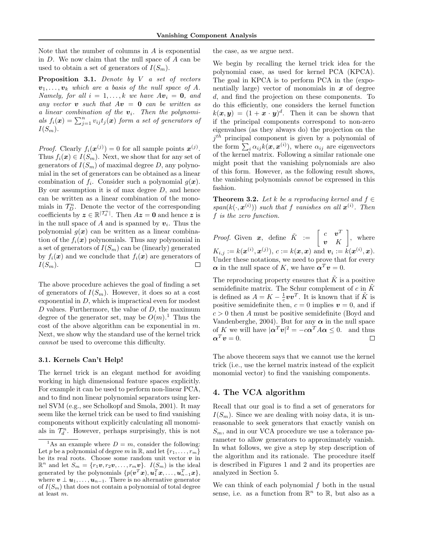Note that the number of columns in A is exponential in D. We now claim that the null space of A can be used to obtain a set of generators of  $I(S_m)$ .

Proposition 3.1. Denote by V a set of vectors  $v_1, \ldots, v_k$  which are a basis of the null space of A. Namely, for all  $i = 1, ..., k$  we have  $Av_i = 0$ , and any vector **v** such that  $Av = 0$  can be written as a linear combination of the  $v_i$ . Then the polynomials  $f_i(\boldsymbol{x}) = \sum_{j=1}^n v_{ij} t_j(\boldsymbol{x})$  form a set of generators of  $I(S_m)$ .

*Proof.* Clearly  $f_i(\mathbf{x}^{(j)}) = 0$  for all sample points  $\mathbf{x}^{(j)}$ . Thus  $f_i(\boldsymbol{x}) \in I(S_m)$ . Next, we show that for any set of generators of  $I(S_m)$  of maximal degree D, any polynomial in the set of generators can be obtained as a linear combination of  $f_i$ . Consider such a polynomial  $g(x)$ . By our assumption it is of max degree  $D$ , and hence can be written as a linear combination of the monomials in  $\mathcal{T}_D^n$ . Denote the vector of the corresponding coefficients by  $\boldsymbol{z} \in \mathbb{R}^{|\mathcal{T}_d^n|}$ . Then  $A\boldsymbol{z} = \boldsymbol{0}$  and hence  $\boldsymbol{z}$  is in the null space of A and is spanned by  $v_i$ . Thus the polynomial  $g(x)$  can be written as a linear combination of the  $f_i(\boldsymbol{x})$  polynomials. Thus any polynomial in a set of generators of  $I(S_m)$  can be (linearly) generated by  $f_i(\boldsymbol{x})$  and we conclude that  $f_i(\boldsymbol{x})$  are generators of  $I(S_m)$ .  $\Box$ 

The above procedure achieves the goal of finding a set of generators of  $I(S_m)$ . However, it does so at a cost exponential in  $D$ , which is impractical even for modest  $D$  values. Furthermore, the value of  $D$ , the maximum degree of the generator set, may be  $O(m)$ .<sup>1</sup> Thus the cost of the above algorithm can be exponential in  $m$ . Next, we show why the standard use of the kernel trick cannot be used to overcome this difficulty.

#### 3.1. Kernels Can't Help!

The kernel trick is an elegant method for avoiding working in high dimensional feature spaces explicitly. For example it can be used to perform non-linear PCA, and to find non linear polynomial separators using kernel SVM (e.g., see Scholkopf and Smola, 2001). It may seem like the kernel trick can be used to find vanishing components without explicitly calculating all monomials in  $\mathcal{T}_d^n$ . However, perhaps surprisingly, this is not the case, as we argue next.

We begin by recalling the kernel trick idea for the polynomial case, as used for kernel PCA (KPCA). The goal in KPCA is to perform PCA in the (exponentially large) vector of monomials in  $x$  of degree d, and find the projection on these components. To do this efficiently, one considers the kernel function  $k(\boldsymbol{x}, \boldsymbol{y}) = (1 + \boldsymbol{x} \cdot \boldsymbol{y})^d$ . Then it can be shown that if the principal components correspond to non-zero eigenvalues (as they always do) the projection on the  $j<sup>th</sup>$  principal component is given by a polynomial of the form  $\sum_i \alpha_{ij} k(\boldsymbol{x}, \boldsymbol{x}^{(i)})$ , where  $\alpha_{ij}$  are eigenvectors of the kernel matrix. Following a similar rationale one might posit that the vanishing polynomials are also of this form. However, as the following result shows, the vanishing polynomials cannot be expressed in this fashion.

**Theorem 3.2.** Let k be a reproducing kernel and  $f \in$  $span(k(\cdot, \boldsymbol{x}^{(i)}))$  such that f vanishes on all  $\boldsymbol{x}^{(i)}$ . Then f is the zero function.

*Proof.* Given x, define  $\tilde{K} := \begin{bmatrix} c & v^T \\ w & K \end{bmatrix}$ v K  $\Big]$ , where  $K_{i,j} := k(\mathbf{x}^{(i)}, \mathbf{x}^{(j)}), c := k(\mathbf{x}, \mathbf{x}) \text{ and } \mathbf{v}_i := k(\mathbf{x}^{(i)}, \mathbf{x}).$ Under these notations, we need to prove that for every  $\alpha$  in the null space of K, we have  $\alpha^T v = 0$ .

The reproducing property ensures that  $\tilde{K}$  is a positive semidefinite matrix. The Schur complement of c in  $\tilde{K}$ is defined as  $A = K - \frac{1}{c} v v^T$ . It is known that if  $\tilde{K}$  is positive semidefinite then,  $c = 0$  implies  $v = 0$ , and if  $c > 0$  then A must be positive semidefinite (Boyd and Vandenberghe, 2004). But for any  $\alpha$  in the null space of K we will have  $|\boldsymbol{\alpha}^T \boldsymbol{v}|^2 = -c \boldsymbol{\alpha}^T A \boldsymbol{\alpha} \leq 0$ . and thus  $\boldsymbol{\alpha}^T \boldsymbol{v} = 0.$  $\Box$ 

The above theorem says that we cannot use the kernel trick (i.e., use the kernel matrix instead of the explicit monomial vector) to find the vanishing components.

# 4. The VCA algorithm

Recall that our goal is to find a set of generators for  $I(S_m)$ . Since we are dealing with noisy data, it is unreasonable to seek generators that exactly vanish on  $S_m$ , and in our VCA procedure we use a tolerance parameter to allow generators to approximately vanish. In what follows, we give a step by step description of the algorithm and its rationale. The procedure itself is described in Figures 1 and 2 and its properties are analyzed in Section 5.

We can think of each polynomial  $f$  both in the usual sense, i.e. as a function from  $\mathbb{R}^n$  to  $\mathbb{R}$ , but also as a

<sup>&</sup>lt;sup>1</sup>As an example where  $D = m$ , consider the following: Let p be a polynomial of degree m in R, and let  $\{r_1, \ldots, r_m\}$ be its real roots. Choose some random unit vector  $v$  in  $\mathbb{R}^n$  and let  $S_m = \{r_1v, r_2v, \ldots, r_mv\}$ .  $I(S_m)$  is the ideal generated by the polynomials  $\{p(\boldsymbol{v}^T\boldsymbol{x}), \boldsymbol{u}_1^T\boldsymbol{x}, \dots, \boldsymbol{u}_{n-1}^T\boldsymbol{x}\},$ where  $\mathbf{v} \perp \mathbf{u}_1, \ldots, \mathbf{u}_{n-1}$ . There is no alternative generator of  $I(S_m)$  that does not contain a polynomial of total degree at least m.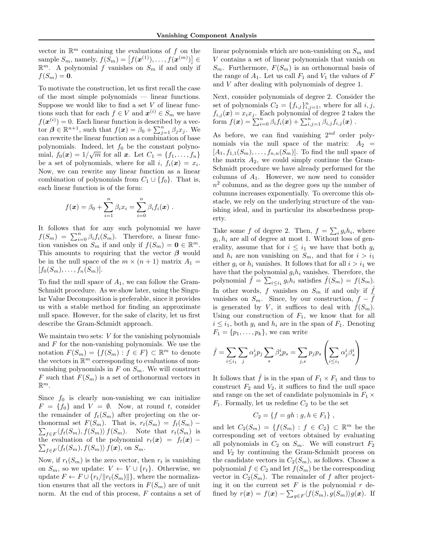vector in  $\mathbb{R}^m$  containing the evaluations of f on the sample  $S_m$ , namely,  $f(S_m) = [f(\mathbf{x}^{(1)}), \dots, f(\mathbf{x}^{(m)})] \in$  $\mathbb{R}^m$ . A polynomial f vanishes on  $S_m$  if and only if  $f(S_m) = \mathbf{0}.$ 

To motivate the construction, let us first recall the case of the most simple polynomials — linear functions. Suppose we would like to find a set  $V$  of linear functions such that for each  $f \in V$  and  $\boldsymbol{x}^{(i)} \in S_m$  we have  $f(\boldsymbol{x}^{(i)}) = 0$ . Each linear function is described by a vector  $\boldsymbol{\beta} \in \mathbb{R}^{n+1}$ , such that  $f(\boldsymbol{x}) = \beta_0 + \sum_{j=1}^n \beta_j x_j$ . We can rewrite the linear function as a combination of base polynomials. Indeed, let  $f_0$  be the constant polynomial,  $f_0(\boldsymbol{x}) = 1/\sqrt{m}$  for all  $\boldsymbol{x}$ . Let  $C_1 = \{f_1, \ldots, f_n\}$ be a set of polynomials, where for all i,  $f_i(\boldsymbol{x}) = x_i$ . Now, we can rewrite any linear function as a linear combination of polynomials from  $C_1 \cup \{f_0\}$ . That is, each linear function is of the form:

$$
f(\mathbf{x}) = \beta_0 + \sum_{i=1}^n \beta_i x_i = \sum_{i=0}^n \beta_i f_i(\mathbf{x}).
$$

It follows that for any such polynomial we have  $f(S_m) = \sum_{i=0}^n \beta_i f_i(S_m)$ . Therefore, a linear function vanishes on  $S_m$  if and only if  $f(S_m) = \mathbf{0} \in \mathbb{R}^m$ . This amounts to requiring that the vector  $\beta$  would be in the null space of the  $m \times (n + 1)$  matrix  $A_1 =$  $[f_0(S_m), \ldots, f_n(S_m)].$ 

To find the null space of  $A_1$ , we can follow the Gram-Schmidt procedure. As we show later, using the Singular Value Decomposition is preferable, since it provides us with a stable method for finding an approximate null space. However, for the sake of clarity, let us first describe the Gram-Schmidt approach.

We maintain two sets: V for the vanishing polynomials and  $F$  for the non-vanishing polynomials. We use the notation  $F(S_m) = \{f(S_m) : f \in F\} \subset \mathbb{R}^m$  to denote the vectors in  $\mathbb{R}^m$  corresponding to evaluations of nonvanishing polynomials in  $F$  on  $S_m$ . We will construct F such that  $F(S_m)$  is a set of orthonormal vectors in  $\mathbb{R}^m$ .

Since  $f_0$  is clearly non-vanishing we can initialize  $F = \{f_0\}$  and  $V = \emptyset$ . Now, at round t, consider the remainder of  $f_t(S_m)$  after projecting on the or- $\sum_{f \in F} \langle f_t(S_m), f(S_m) \rangle f(S_m)$ . Note that  $r_t(S_m)$  is thonormal set  $F(S_m)$ . That is,  $r_t(S_m) = f_t(S_m)$  –  $\sum_{f \in F} \langle f_t(S_m), f(S_m) \rangle f(\boldsymbol{x}),$  on  $S_m$ . the evaluation of the polynomial  $r_t(x) = f_t(x)$  –

Now, if  $r_t(S_m)$  is the zero vector, then  $r_t$  is vanishing on  $S_m$ , so we update:  $V \leftarrow V \cup \{r_t\}$ . Otherwise, we update  $F \leftarrow F \cup \{r_t/||r_t(S_m)||\}$ , where the normalization ensures that all the vectors in  $F(S_m)$  are of unit norm. At the end of this process, F contains a set of linear polynomials which are non-vanishing on  $S_m$  and V contains a set of linear polynomials that vanish on  $S_m$ . Furthermore,  $F(S_m)$  is an orthonormal basis of the range of  $A_1$ . Let us call  $F_1$  and  $V_1$  the values of  $F$ and V after dealing with polynomials of degree 1.

Next, consider polynomials of degree 2. Consider the set of polynomials  $C_2 = \{f_{i,j}\}_{i,j=1}^n$ , where for all  $i, j$ ,  $f_{i,j}(\boldsymbol{x}) = x_i x_j$ . Each polynomial of degree 2 takes the form  $f(\boldsymbol{x}) = \sum_{i=0}^n \beta_i \overline{f_i(\boldsymbol{x})} + \sum_{i,j=1}^n \beta_{i,j} \overline{f_{i,j}(\boldsymbol{x})}$  .

As before, we can find vanishing  $2^{nd}$  order polynomials via the null space of the matrix:  $A_2 =$  $[A_1, f_{1,1}(S_m), \ldots, f_{n,n}(S_m)]$ . To find the null space of the matrix  $A_2$ , we could simply continue the Gram-Schmidt procedure we have already performed for the columns of  $A_1$ . However, we now need to consider  $n<sup>2</sup>$  columns, and as the degree goes up the number of columns increases exponentially. To overcome this obstacle, we rely on the underlying structure of the vanishing ideal, and in particular its absorbedness property.

Take some f of degree 2. Then,  $f = \sum_i g_i h_i$ , where  $g_i, h_i$  are all of degree at most 1. Without loss of generality, assume that for  $i \leq i_1$  we have that both  $g_i$ and  $h_i$  are non vanishing on  $S_m$ , and that for  $i > i_1$ either  $g_i$  or  $h_i$  vanishes. It follows that for all  $i > i_1$  we have that the polynomial  $g_i h_i$  vanishes. Therefore, the polynomial  $\hat{f} = \sum_{i \leq i_1} g_i h_i$  satisfies  $\hat{f}(S_m) = f(S_m)$ . In other words, f vanishes on  $S_m$  if and only if  $\hat{f}$ vanishes on  $S_m$ . Since, by our construction,  $f - f$ is generated by V, it suffices to deal with  $f(S_m)$ . Using our construction of  $F_1$ , we know that for all  $i \leq i_1$ , both  $g_i$  and  $h_i$  are in the span of  $F_1$ . Denoting  $F_1 = \{p_1, \ldots, p_k\}$ , we can write

$$
\hat{f} = \sum_{i \le i_1} \sum_j \alpha_j^i p_j \sum_s \beta_s^i p_s = \sum_{j,s} p_j p_s \left( \sum_{i \le i_1} \alpha_j^i \beta_s^i \right)
$$

It follows that  $\tilde{f}$  is in the span of  $F_1 \times F_1$  and thus to construct  $F_2$  and  $V_2$ , it suffices to find the null space and range on the set of candidate polynomials in  $F_1 \times$  $F_1$ . Formally, let us redefine  $C_2$  to be the set

$$
C_2 = \{ f = gh : g, h \in F_1 \},
$$

and let  $C_2(S_m) = \{f(S_m) : f \in C_2\} \subset \mathbb{R}^m$  be the corresponding set of vectors obtained by evaluating all polynomials in  $C_2$  on  $S_m$ . We will construct  $F_2$ and  $V_2$  by continuing the Gram-Schmidt process on the candidate vectors in  $C_2(S_m)$ , as follows. Choose a polynomial  $f \in C_2$  and let  $f(S_m)$  be the corresponding vector in  $C_2(S_m)$ . The remainder of f after projecting it on the current set  $F$  is the polynomial  $r$  defined by  $r(\boldsymbol{x}) = f(\boldsymbol{x}) - \sum_{g \in F} \langle f(S_m), g(S_m) \rangle g(\boldsymbol{x})$ . If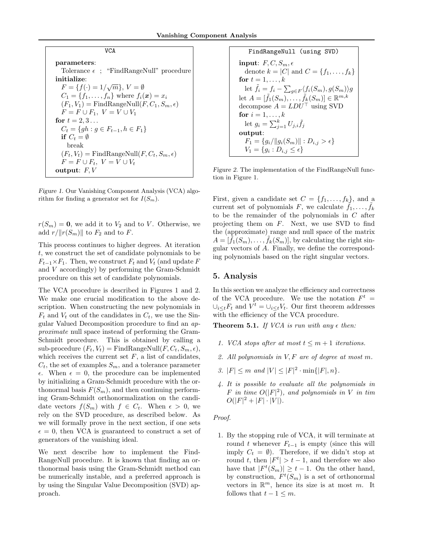| VCA                                                        |  |  |  |  |  |
|------------------------------------------------------------|--|--|--|--|--|
| parameters:                                                |  |  |  |  |  |
| Tolerance $\epsilon$ ; "FindRangeNull" procedure           |  |  |  |  |  |
| initialize:                                                |  |  |  |  |  |
| $F = \{f(\cdot) = 1/\sqrt{m}\}, V = \emptyset$             |  |  |  |  |  |
| $C_1 = \{f_1, , f_n\}$ where $f_i(x) = x_i$                |  |  |  |  |  |
| $(F_1, V_1)$ = FindRangeNull $(F, C_1, S_m, \epsilon)$     |  |  |  |  |  |
| $F = F \cup F_1$ , $V = V \cup V_1$                        |  |  |  |  |  |
| for $t = 2, 3$                                             |  |  |  |  |  |
| $C_t = \{gh : g \in F_{t-1}, h \in F_1\}$                  |  |  |  |  |  |
| if $C_t = \emptyset$                                       |  |  |  |  |  |
| break                                                      |  |  |  |  |  |
| $(F_t, V_t) = \text{FindRangeNull}(F, C_t, S_m, \epsilon)$ |  |  |  |  |  |
| $F = F \cup F_t$ , $V = V \cup V_t$                        |  |  |  |  |  |
| output: $F, V$                                             |  |  |  |  |  |

Figure 1. Our Vanishing Component Analysis (VCA) algorithm for finding a generator set for  $I(S_m)$ .

 $r(S_m) = 0$ , we add it to  $V_2$  and to V. Otherwise, we add  $r/\Vert r(S_m)\Vert$  to  $F_2$  and to F.

This process continues to higher degrees. At iteration t, we construct the set of candidate polynomials to be  $F_{t-1} \times F_1$ . Then, we construct  $F_t$  and  $V_t$  (and update F and V accordingly) by performing the Gram-Schmidt procedure on this set of candidate polynomials.

The VCA procedure is described in Figures 1 and 2. We make one crucial modification to the above description. When constructing the new polynomials in  $F_t$  and  $V_t$  out of the candidates in  $C_t$ , we use the Singular Valued Decomposition procedure to find an approximate null space instead of performing the Gram-Schmidt procedure. This is obtained by calling a sub-procedure  $(F_t, V_t) = \text{FindRangeNull}(F, C_t, S_m, \epsilon),$ which receives the current set  $F$ , a list of candidates,  $C_t$ , the set of examples  $S_m$ , and a tolerance parameter  $\epsilon$ . When  $\epsilon = 0$ , the procedure can be implemented by initializing a Gram-Schmidt procedure with the orthonormal basis  $F(S_m)$ , and then continuing performing Gram-Schmidt orthonormalization on the candidate vectors  $f(S_m)$  with  $f \in C_t$ . When  $\epsilon > 0$ , we rely on the SVD procedure, as described below. As we will formally prove in the next section, if one sets  $\epsilon = 0$ , then VCA is guaranteed to construct a set of generators of the vanishing ideal.

We next describe how to implement the Find-RangeNull procedure. It is known that finding an orthonormal basis using the Gram-Schmidt method can be numerically instable, and a preferred approach is by using the Singular Value Decomposition (SVD) approach.

FindRangeNull (using SVD)  
\ninput: 
$$
F, C, S_m, \epsilon
$$
  
\ndenote  $k = |C|$  and  $C = \{f_1, ..., f_k\}$   
\nfor  $t = 1, ..., k$   
\nlet  $\tilde{f}_i = f_i - \sum_{g \in F} \langle f_i(S_m), g(S_m) \rangle g$   
\nlet  $A = [\tilde{f}_1(S_m), ..., \tilde{f}_k(S_m)] \in \mathbb{R}^{m,k}$   
\ndecompose  $A = LDU^{\top}$  using SVD  
\nfor  $i = 1, ..., k$   
\nlet  $g_i = \sum_{j=1}^k U_{j,i} \tilde{f}_j$   
\noutput:  
\n $F_1 = \{g_i / ||g_i(S_m)|| : D_{i,j} > \epsilon\}$   
\n $V_1 = \{g_i : D_{i,j} \le \epsilon\}$ 

Figure 2. The implementation of the FindRangeNull function in Figure 1.

First, given a candidate set  $C = \{f_1, \ldots, f_k\}$ , and a current set of polynomials F, we calculate  $\tilde{f}_1, \ldots, \tilde{f}_k$ to be the remainder of the polynomials in C after projecting them on  $F$ . Next, we use SVD to find the (approximate) range and null space of the matrix  $A = [\tilde{f}_1(S_m), \ldots, \tilde{f}_k(S_m)],$  by calculating the right singular vectors of A. Finally, we define the corresponding polynomials based on the right singular vectors.

# 5. Analysis

In this section we analyze the efficiency and correctness of the VCA procedure. We use the notation  $F^t =$  $\bigcup_{i\leq t} F_t$  and  $V^t = \bigcup_{i\leq t} V_t$ . Our first theorem addresses with the efficiency of the VCA procedure.

**Theorem 5.1.** If VCA is run with any  $\epsilon$  then:

- 1. VCA stops after at most  $t \leq m+1$  iterations.
- 2. All polynomials in V, F are of degree at most m.
- 3.  $|F| \leq m$  and  $|V| \leq |F|^2 \cdot \min\{|F|, n\}.$
- 4. It is possible to evaluate all the polynomials in F in time  $O(|F|^2)$ , and polynomials in V in tim  $O(|F|^2 + |F| \cdot |V|).$

#### Proof.

1. By the stopping rule of VCA, it will terminate at round t whenever  $F_{t-1}$  is empty (since this will imply  $C_t = \emptyset$ . Therefore, if we didn't stop at round t, then  $|F^t| > t - 1$ , and therefore we also have that  $|F^t(S_m)| \geq t - 1$ . On the other hand, by construction,  $F^t(S_m)$  is a set of orthonormal vectors in  $\mathbb{R}^m$ , hence its size is at most m. It follows that  $t - 1 \leq m$ .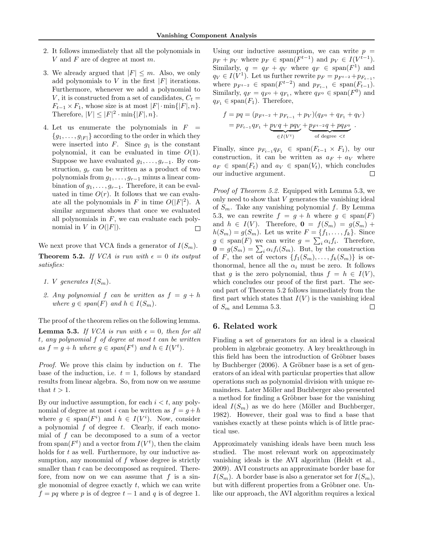- 2. It follows immediately that all the polynomials in V and F are of degree at most m.
- 3. We already argued that  $|F| \leq m$ . Also, we only add polynomials to  $V$  in the first  $|F|$  iterations. Furthermore, whenever we add a polynomial to V, it is constructed from a set of candidates,  $C_t =$  $F_{t-1} \times F_1$ , whose size is at most  $|F| \cdot \min\{|F|, n\}.$ Therefore,  $|V| \leq |F|^2 \cdot \min\{|F|, n\}.$
- 4. Let us enumerate the polynomials in  $F =$  ${g_1, \ldots, g_{|F|}}$  according to the order in which they were inserted into  $F$ . Since  $g_1$  is the constant polynomial, it can be evaluated in time  $O(1)$ . Suppose we have evaluated  $g_1, \ldots, g_{r-1}$ . By construction,  $g_r$  can be written as a product of two polynomials from  $g_1, \ldots, g_{r-1}$  minus a linear combination of  $g_1, \ldots, g_{r-1}$ . Therefore, it can be evaluated in time  $O(r)$ . It follows that we can evaluate all the polynomials in F in time  $O(|F|^2)$ . A similar argument shows that once we evaluated all polynomials in  $F$ , we can evaluate each polynomial in V in  $O(|F|)$ .  $\Box$

We next prove that VCA finds a generator of  $I(S_m)$ . **Theorem 5.2.** If VCA is run with  $\epsilon = 0$  its output satisfies:

- 1. V generates  $I(S_m)$ .
- 2. Any polynomial f can be written as  $f = g + h$ where  $g \in span(F)$  and  $h \in I(S_m)$ .

The proof of the theorem relies on the following lemma. **Lemma 5.3.** If VCA is run with  $\epsilon = 0$ , then for all t, any polynomial f of degree at most t can be written as  $f = g + h$  where  $g \in span(F^t)$  and  $h \in I(V^t)$ .

*Proof.* We prove this claim by induction on  $t$ . The base of the induction, i.e.  $t = 1$ , follows by standard results from linear algebra. So, from now on we assume that  $t > 1$ .

By our inductive assumption, for each  $i < t$ , any polynomial of degree at most i can be written as  $f = g + h$ where  $g \in \text{span}(F^i)$  and  $h \in I(V^i)$ . Now, consider a polynomial  $f$  of degree  $t$ . Clearly, if each monomial of f can be decomposed to a sum of a vector from span( $F<sup>t</sup>$ ) and a vector from  $I(V<sup>t</sup>)$ , then the claim holds for  $t$  as well. Furthermore, by our inductive assumption, any monomial of  $f$  whose degree is strictly smaller than t can be decomposed as required. Therefore, from now on we can assume that  $f$  is a single monomial of degree exactly  $t$ , which we can write  $f = pq$  where p is of degree  $t - 1$  and q is of degree 1.

Using our inductive assumption, we can write  $p =$  $p_F + p_V$  where  $p_F \in \text{span}(F^{t-1})$  and  $p_V \in I(V^{t-1})$ . Similarly,  $q = q_F + q_V$  where  $q_F \in \text{span}(F^1)$  and  $q_V \in I(V^1)$ . Let us further rewrite  $p_F = p_{F^{t-2}} + p_{F_{t-1}}$ , where  $p_{F^{t-2}} \in \text{span}(F^{t-2})$  and  $p_{F_{t-1}} \in \text{span}(F_{t-1})$ . Similarly,  $q_F = q_{F^0} + q_{F_1}$ , where  $q_{F^0} \in \text{span}(F^0)$  and  $q_{F_1} \in \text{span}(F_1)$ . Therefore,

$$
f = pq = (p_{F^{t-2}} + p_{F_{t-1}} + p_V)(q_{F^0} + q_{F_1} + q_V)
$$
  
=  $p_{F_{t-1}}q_{F_1} + \underbrace{p_Vq + pq_V}_{\in I(V^t)} + \underbrace{p_{F^{t-2}}q + pq_{F^0}}_{\text{of degree } < t}.$ 

Finally, since  $p_{F_{t-1}}q_{F_1} \in \text{span}(F_{t-1} \times F_1)$ , by our construction, it can be written as  $a_F + a_V$  where  $a_F \in \text{span}(F_t)$  and  $a_V \in \text{span}(V_t)$ , which concludes our inductive argument.  $\Box$ 

Proof of Theorem 5.2. Equipped with Lemma 5.3, we only need to show that V generates the vanishing ideal of  $S_m$ . Take any vanishing polynomial f. By Lemma 5.3, we can rewrite  $f = g + h$  where  $g \in \text{span}(F)$ and  $h \in I(V)$ . Therefore,  $\mathbf{0} = f(S_m) = g(S_m) +$  $h(S_m) = g(S_m)$ . Let us write  $F = \{f_1, \ldots, f_k\}$ . Since  $g \in \text{span}(F)$  we can write  $g = \sum_i \alpha_i f_i$ . Therefore,  $\mathbf{0} = g(S_m) = \sum_i \alpha_i f_i(S_m)$ . But, by the construction of F, the set of vectors  $\{f_1(S_m), \ldots, f_k(S_m)\}\$ is orthonormal, hence all the  $\alpha_i$  must be zero. It follows that g is the zero polynomial, thus  $f = h \in I(V)$ , which concludes our proof of the first part. The second part of Theorem 5.2 follows immediately from the first part which states that  $I(V)$  is the vanishing ideal of  $S_m$  and Lemma 5.3.  $\Box$ 

# 6. Related work

Finding a set of generators for an ideal is a classical problem in algebraic geometry. A key breakthrough in this field has been the introduction of Gröbner bases by Buchberger  $(2006)$ . A Gröbner base is a set of generators of an ideal with particular properties that allow operations such as polynomial division with unique remainders. Later Möller and Buchberger also presented a method for finding a Gröbner base for the vanishing ideal  $I(S_m)$  as we do here (Möller and Buchberger, 1982). However, their goal was to find a base that vanishes exactly at these points which is of little practical use.

Approximately vanishing ideals have been much less studied. The most relevant work on approximately vanishing ideals is the AVI algorithm (Heldt et al., 2009). AVI constructs an approximate border base for  $I(S_m)$ . A border base is also a generator set for  $I(S_m)$ , but with different properties from a Gröbner one. Unlike our approach, the AVI algorithm requires a lexical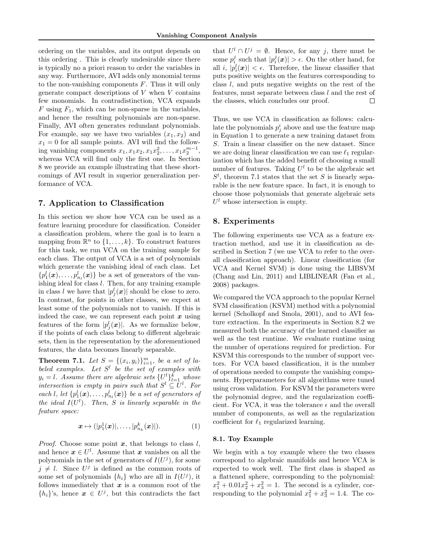ordering on the variables, and its output depends on this ordering . This is clearly undesirable since there is typically no a priori reason to order the variables in any way. Furthermore, AVI adds only monomial terms to the non-vanishing components  $F$ . Thus it will only generate compact descriptions of  $V$  when  $V$  contains few monomials. In contradistinction, VCA expands  $F$  using  $F_1$ , which can be non-sparse in the variables, and hence the resulting polynomials are non-sparse. Finally, AVI often generates redundant polynomials. For example, say we have two variables  $(x_1, x_2)$  and  $x_1 = 0$  for all sample points. AVI will find the following vanishing components  $x_1, x_1x_2, x_1x_2^2, \ldots, x_1x_2^{m-1}$ , whereas VCA will find only the first one. In Section 8 we provide an example illustrating that these shortcomings of AVI result in superior generalization performance of VCA.

# 7. Application to Classification

In this section we show how VCA can be used as a feature learning procedure for classification. Consider a classification problem, where the goal is to learn a mapping from  $\mathbb{R}^n$  to  $\{1, \ldots, k\}$ . To construct features for this task, we run VCA on the training sample for each class. The output of VCA is a set of polynomials which generate the vanishing ideal of each class. Let  ${p_1^l(\boldsymbol{x}), \ldots, p_{n_l}^l(\boldsymbol{x})}$  be a set of generators of the vanishing ideal for class l. Then, for any training example in class l we have that  $|p_j^l(\boldsymbol{x})|$  should be close to zero. In contrast, for points in other classes, we expect at least some of the polynomials not to vanish. If this is indeed the case, we can represent each point  $x$  using features of the form  $|p_j^l(\boldsymbol{x})|$ . As we formalize below, if the points of each class belong to different algebraic sets, then in the representation by the aforementioned features, the data becomes linearly separable.

**Theorem 7.1.** Let  $S = \{(x_i, y_i)\}_{i=1}^m$ , be a set of labeled examples. Let  $S^l$  be the set of examples with  $y_i = l$ . Assume there are algebraic sets  $\{U_i^l\}_{l=1}^k$  whose intersection is empty in pairs such that  $S^l \subseteq U^l$ . For each l, let  $\{p_1^l(\boldsymbol{x}), \ldots, p_{n_l}^l(\boldsymbol{x})\}$  be a set of generators of the ideal  $I(U^l)$ . Then, S is linearly separable in the feature space:

$$
\boldsymbol{x} \mapsto (|p_1^1(\boldsymbol{x})|, \dots, |p_{n_k}^k(\boldsymbol{x})|). \tag{1}
$$

*Proof.* Choose some point  $x$ , that belongs to class  $l$ , and hence  $x \in U^l$ . Assume that x vanishes on all the polynomials in the set of generators of  $I(U<sup>j</sup>)$ , for some  $j \neq l$ . Since  $U^j$  is defined as the common roots of some set of polynomials  $\{h_i\}$  who are all in  $I(U^j)$ , it follows immediately that  $x$  is a common root of the  ${h_i}$ 's, hence  $\boldsymbol{x} \in U^j$ , but this contradicts the fact

that  $U^l \cap U^j = \emptyset$ . Hence, for any j, there must be some  $p_i^j$  such that  $|p_i^j(x)| > \epsilon$ . On the other hand, for all i,  $|p_i^l(x)| < \epsilon$ . Therefore, the linear classifier that puts positive weights on the features corresponding to class l, and puts negative weights on the rest of the features, must separate between class l and the rest of the classes, which concludes our proof.  $\Box$ 

Thus, we use VCA in classification as follows: calculate the polynomials  $p_j^i$  above and use the feature map in Equation 1 to generate a new training dataset from S. Train a linear classifier on the new dataset. Since we are doing linear classification we can use  $\ell_1$  regularization which has the added benefit of choosing a small number of features. Taking  $U^l$  to be the algebraic set  $S<sup>l</sup>$ , theorem 7.1 states that the set S is linearly separable is the new feature space. In fact, it is enough to choose those polynomials that generate algebraic sets  $U<sup>l</sup>$  whose intersection is empty.

# 8. Experiments

The following experiments use VCA as a feature extraction method, and use it in classification as described in Section 7 (we use VCA to refer to the overall classification approach). Linear classification (for VCA and Kernel SVM) is done using the LIBSVM (Chang and Lin, 2011) and LIBLINEAR (Fan et al., 2008) packages.

We compared the VCA approach to the popular Kernel SVM classification (KSVM) method with a polynomial kernel (Scholkopf and Smola, 2001), and to AVI feature extraction. In the experiments in Section 8.2 we measured both the accuracy of the learned classifier as well as the test runtime. We evaluate runtime using the number of operations required for prediction. For KSVM this corresponds to the number of support vectors. For VCA based classification, it is the number of operations needed to compute the vanishing components. Hyperparameters for all algorithms were tuned using cross validation. For KSVM the parameters were the polynomial degree, and the regularization coefficient. For VCA, it was the tolerance  $\epsilon$  and the overall number of components, as well as the regularization coefficient for  $\ell_1$  regularized learning.

#### 8.1. Toy Example

We begin with a toy example where the two classes correspond to algebraic manifolds and hence VCA is expected to work well. The first class is shaped as a flattened sphere, corresponding to the polynomial:  $x_1^2 + 0.01x_2^2 + x_3^2 = 1$ . The second is a cylinder, corresponding to the polynomial  $x_1^2 + x_3^2 = 1.4$ . The co-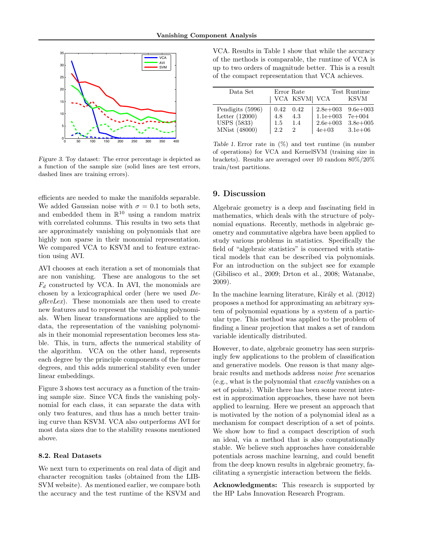

Figure 3. Toy dataset: The error percentage is depicted as a function of the sample size (solid lines are test errors, dashed lines are training errors).

efficients are needed to make the manifolds separable. We added Gaussian noise with  $\sigma = 0.1$  to both sets, and embedded them in  $\mathbb{R}^{10}$  using a random matrix with correlated columns. This results in two sets that are approximately vanishing on polynomials that are highly non sparse in their monomial representation. We compared VCA to KSVM and to feature extraction using AVI.

AVI chooses at each iteration a set of monomials that are non vanishing. These are analogous to the set  $F_d$  constructed by VCA. In AVI, the monomials are chosen by a lexicographical order (here we used De $gRevLex$ . These monomials are then used to create new features and to represent the vanishing polynomials. When linear transformations are applied to the data, the representation of the vanishing polynomials in their monomial representation becomes less stable. This, in turn, affects the numerical stability of the algorithm. VCA on the other hand, represents each degree by the principle components of the former degrees, and this adds numerical stability even under linear embeddings.

Figure 3 shows test accuracy as a function of the training sample size. Since VCA finds the vanishing polynomial for each class, it can separate the data with only two features, and thus has a much better training curve than KSVM. VCA also outperforms AVI for most data sizes due to the stability reasons mentioned above.

#### 8.2. Real Datasets

We next turn to experiments on real data of digit and character recognition tasks (obtained from the LIB-SVM website). As mentioned earlier, we compare both the accuracy and the test runtime of the KSVM and

VCA. Results in Table 1 show that while the accuracy of the methods is comparable, the runtime of VCA is up to two orders of magnitude better. This is a result of the compact representation that VCA achieves.

| Data Set           | Error Rate |                | Test Runtime |              |
|--------------------|------------|----------------|--------------|--------------|
|                    |            | VCA KSVM  VCA  |              | <b>KSVM</b>  |
| Pendigits (5996)   | 0.42       | 0.42           | $2.8e + 003$ | $9.6e + 003$ |
| Letter $(12000)$   | 4.8        | 4.3            | $1.1e + 003$ | $7e+004$     |
| <b>USPS</b> (5833) | 1.5        | 1.4            | $2.6e + 003$ | $3.8e + 005$ |
| MNist (48000)      | 2.2        | $\overline{2}$ | $4e + 03$    | $3.1e + 06$  |

Table 1. Error rate in  $(\%)$  and test runtime (in number of operations) for VCA and KernelSVM (training size in brackets). Results are averaged over 10 random 80%/20% train/test partitions.

#### 9. Discussion

Algebraic geometry is a deep and fascinating field in mathematics, which deals with the structure of polynomial equations. Recently, methods in algebraic geometry and commutative algebra have been applied to study various problems in statistics. Specifically the field of "algebraic statistics" is concerned with statistical models that can be described via polynomials. For an introduction on the subject see for example (Gibilisco et al., 2009; Drton et al., 2008; Watanabe, 2009).

In the machine learning literature, Király et al. (2012) proposes a method for approximating an arbitrary system of polynomial equations by a system of a particular type. This method was applied to the problem of finding a linear projection that makes a set of random variable identically distributed.

However, to date, algebraic geometry has seen surprisingly few applications to the problem of classification and generative models. One reason is that many algebraic results and methods address noise free scenarios (e.g., what is the polynomial that exactly vanishes on a set of points). While there has been some recent interest in approximation approaches, these have not been applied to learning. Here we present an approach that is motivated by the notion of a polynomial ideal as a mechanism for compact description of a set of points. We show how to find a compact description of such an ideal, via a method that is also computationally stable. We believe such approaches have considerable potentials across machine learning, and could benefit from the deep known results in algebraic geometry, facilitating a synergistic interaction between the fields.

Acknowledgments: This research is supported by the HP Labs Innovation Research Program.